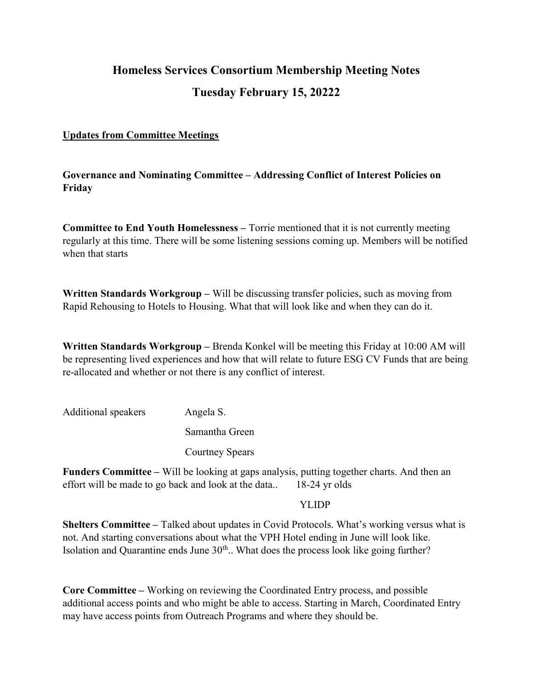# Homeless Services Consortium Membership Meeting Notes Tuesday February 15, 20222

#### Updates from Committee Meetings

Governance and Nominating Committee – Addressing Conflict of Interest Policies on Friday

Committee to End Youth Homelessness – Torrie mentioned that it is not currently meeting regularly at this time. There will be some listening sessions coming up. Members will be notified when that starts

Written Standards Workgroup – Will be discussing transfer policies, such as moving from Rapid Rehousing to Hotels to Housing. What that will look like and when they can do it.

Written Standards Workgroup – Brenda Konkel will be meeting this Friday at 10:00 AM will be representing lived experiences and how that will relate to future ESG CV Funds that are being re-allocated and whether or not there is any conflict of interest.

Additional speakers Angela S. Samantha Green Courtney Spears

Funders Committee – Will be looking at gaps analysis, putting together charts. And then an effort will be made to go back and look at the data.. 18-24 yr olds

#### YLIDP

Shelters Committee – Talked about updates in Covid Protocols. What's working versus what is not. And starting conversations about what the VPH Hotel ending in June will look like. Isolation and Quarantine ends June  $30<sup>th</sup>$ . What does the process look like going further?

Core Committee – Working on reviewing the Coordinated Entry process, and possible additional access points and who might be able to access. Starting in March, Coordinated Entry may have access points from Outreach Programs and where they should be.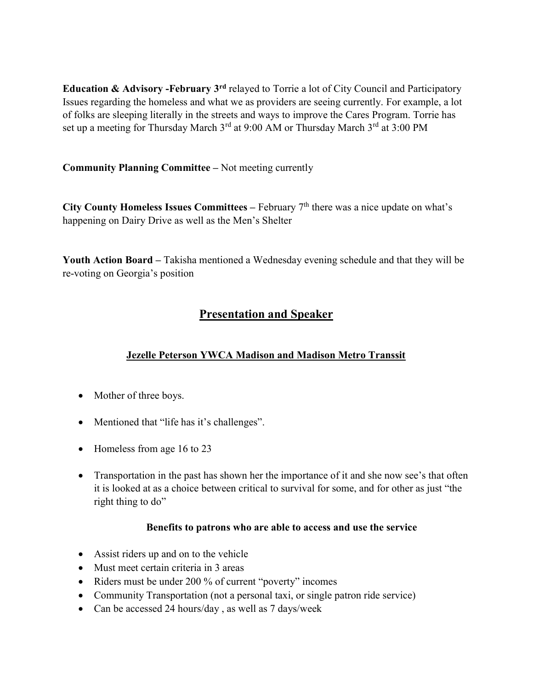Education  $\&$  Advisory -February  $3^{rd}$  relayed to Torrie a lot of City Council and Participatory Issues regarding the homeless and what we as providers are seeing currently. For example, a lot of folks are sleeping literally in the streets and ways to improve the Cares Program. Torrie has set up a meeting for Thursday March 3<sup>rd</sup> at 9:00 AM or Thursday March 3<sup>rd</sup> at 3:00 PM

Community Planning Committee – Not meeting currently

City County Homeless Issues Committees – February  $7<sup>th</sup>$  there was a nice update on what's happening on Dairy Drive as well as the Men's Shelter

Youth Action Board – Takisha mentioned a Wednesday evening schedule and that they will be re-voting on Georgia's position

# Presentation and Speaker

## Jezelle Peterson YWCA Madison and Madison Metro Transsit

- Mother of three boys.
- Mentioned that "life has it's challenges".
- Homeless from age 16 to 23
- Transportation in the past has shown her the importance of it and she now see's that often it is looked at as a choice between critical to survival for some, and for other as just "the right thing to do"

### Benefits to patrons who are able to access and use the service

- Assist riders up and on to the vehicle
- Must meet certain criteria in 3 areas
- Riders must be under 200 % of current "poverty" incomes
- Community Transportation (not a personal taxi, or single patron ride service)
- Can be accessed 24 hours/day , as well as 7 days/week